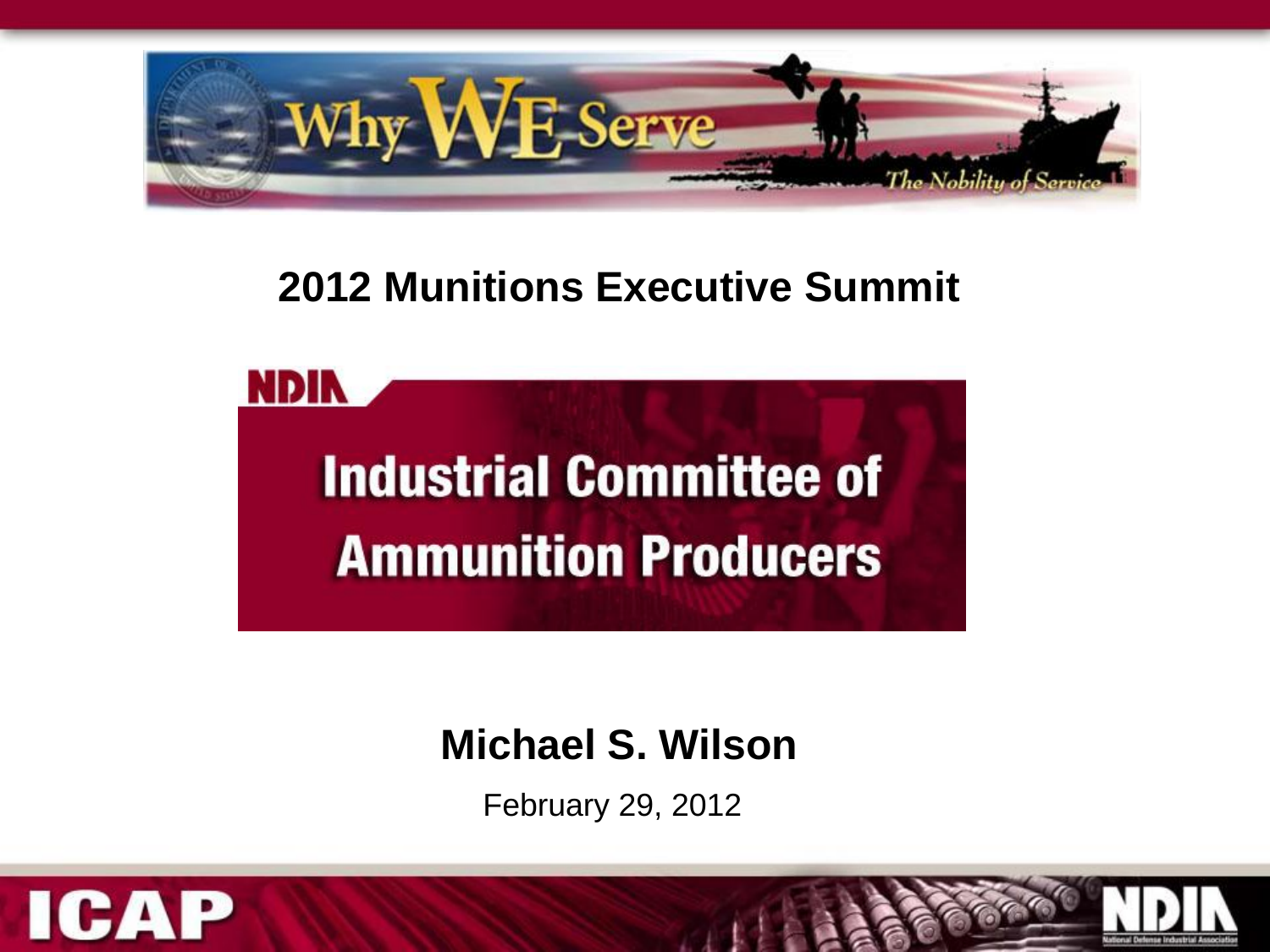

# **2012 Munitions Executive Summit**

**NDIN Industrial Committee of Ammunition Producers** 

# **Michael S. Wilson**

February 29, 2012

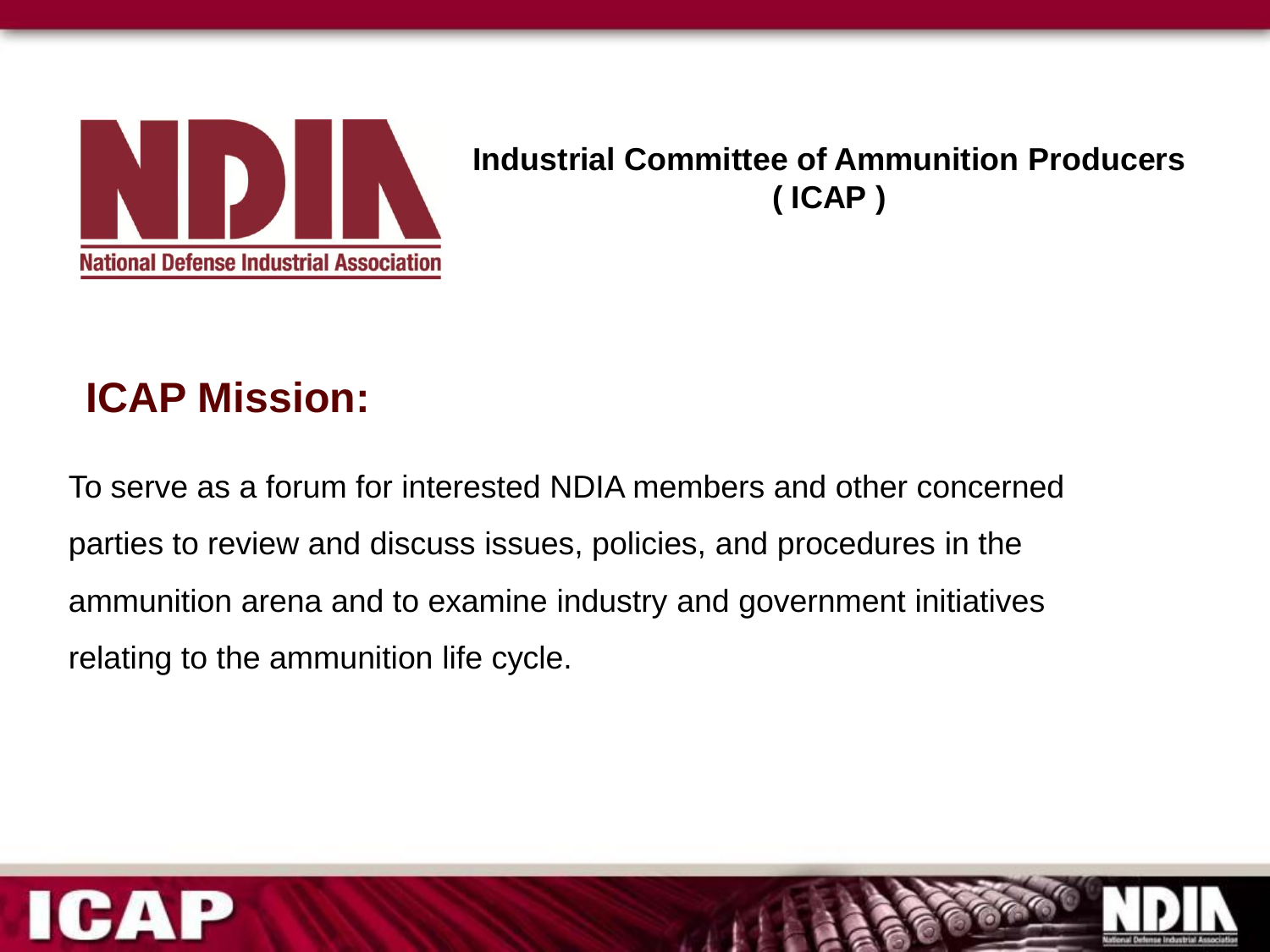

#### **Industrial Committee of Ammunition Producers ( ICAP )**

# **ICAP Mission:**

To serve as a forum for interested NDIA members and other concerned parties to review and discuss issues, policies, and procedures in the ammunition arena and to examine industry and government initiatives relating to the ammunition life cycle.



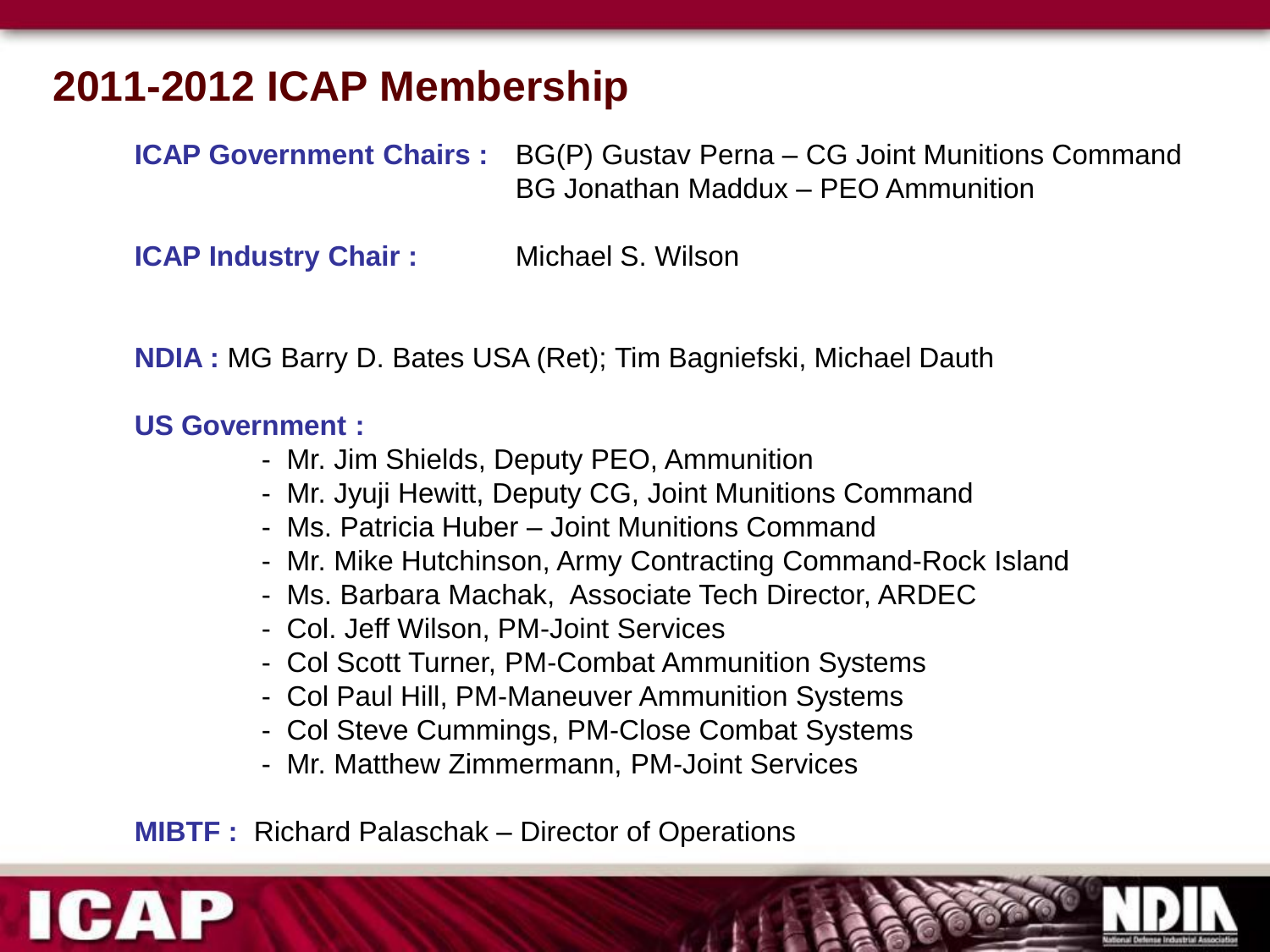## **2011-2012 ICAP Membership**

**ICAP Government Chairs :** BG(P) Gustav Perna – CG Joint Munitions Command BG Jonathan Maddux – PEO Ammunition

**ICAP Industry Chair :** Michael S. Wilson

**NDIA :** MG Barry D. Bates USA (Ret); Tim Bagniefski, Michael Dauth

#### **US Government :**

- Mr. Jim Shields, Deputy PEO, Ammunition
- Mr. Jyuji Hewitt, Deputy CG, Joint Munitions Command
- Ms. Patricia Huber Joint Munitions Command
- Mr. Mike Hutchinson, Army Contracting Command-Rock Island
- Ms. Barbara Machak, Associate Tech Director, ARDEC
- Col. Jeff Wilson, PM-Joint Services
- Col Scott Turner, PM-Combat Ammunition Systems
- Col Paul Hill, PM-Maneuver Ammunition Systems
- Col Steve Cummings, PM-Close Combat Systems
- Mr. Matthew Zimmermann, PM-Joint Services

**MIBTF :** Richard Palaschak – Director of Operations

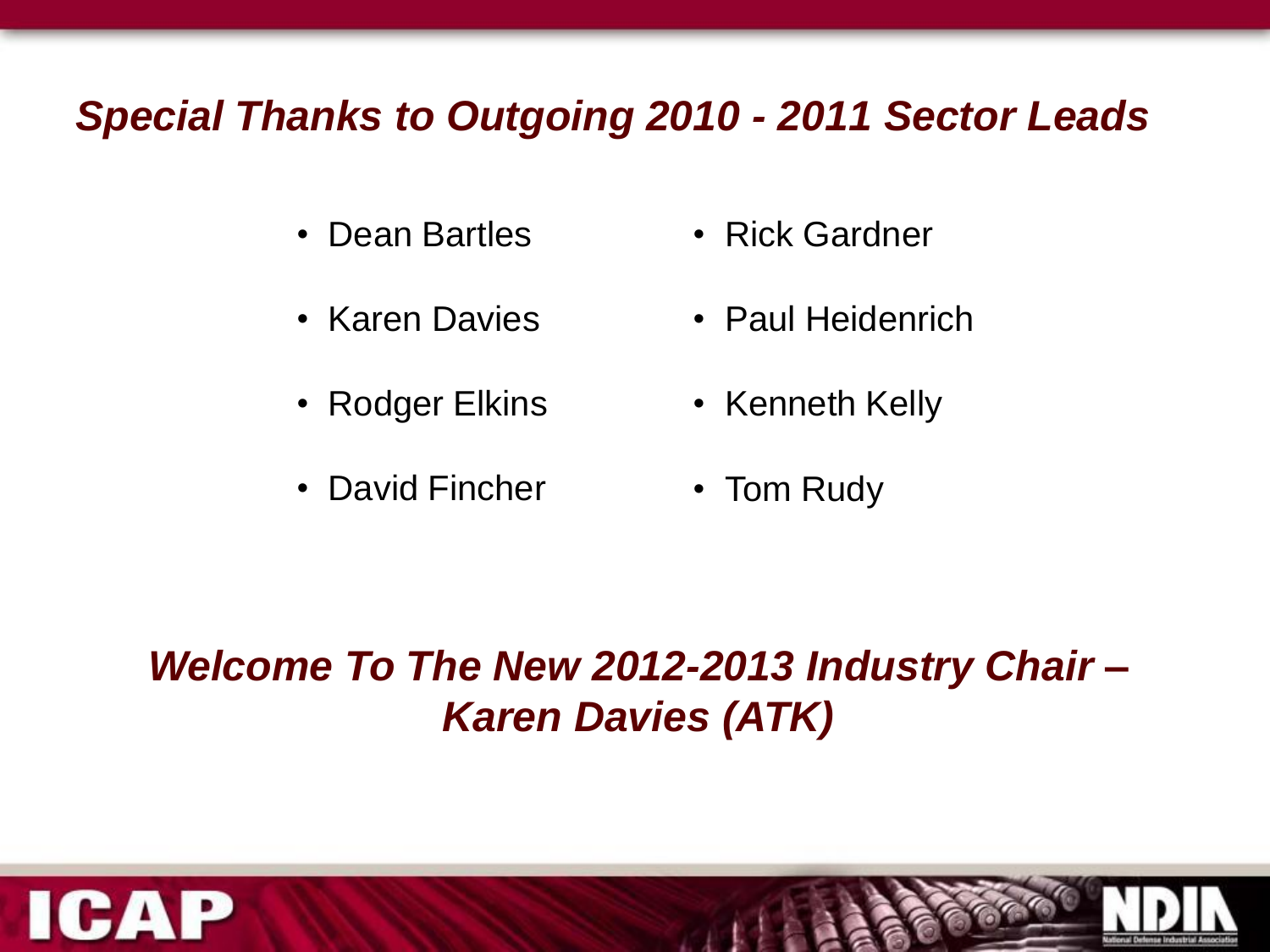#### *Special Thanks to Outgoing 2010 - 2011 Sector Leads*

- Dean Bartles
- Karen Davies
- Rodger Elkins
- David Fincher
- Rick Gardner
- Paul Heidenrich
- Kenneth Kelly
- Tom Rudy

# *Welcome To The New 2012-2013 Industry Chair – Karen Davies (ATK)*



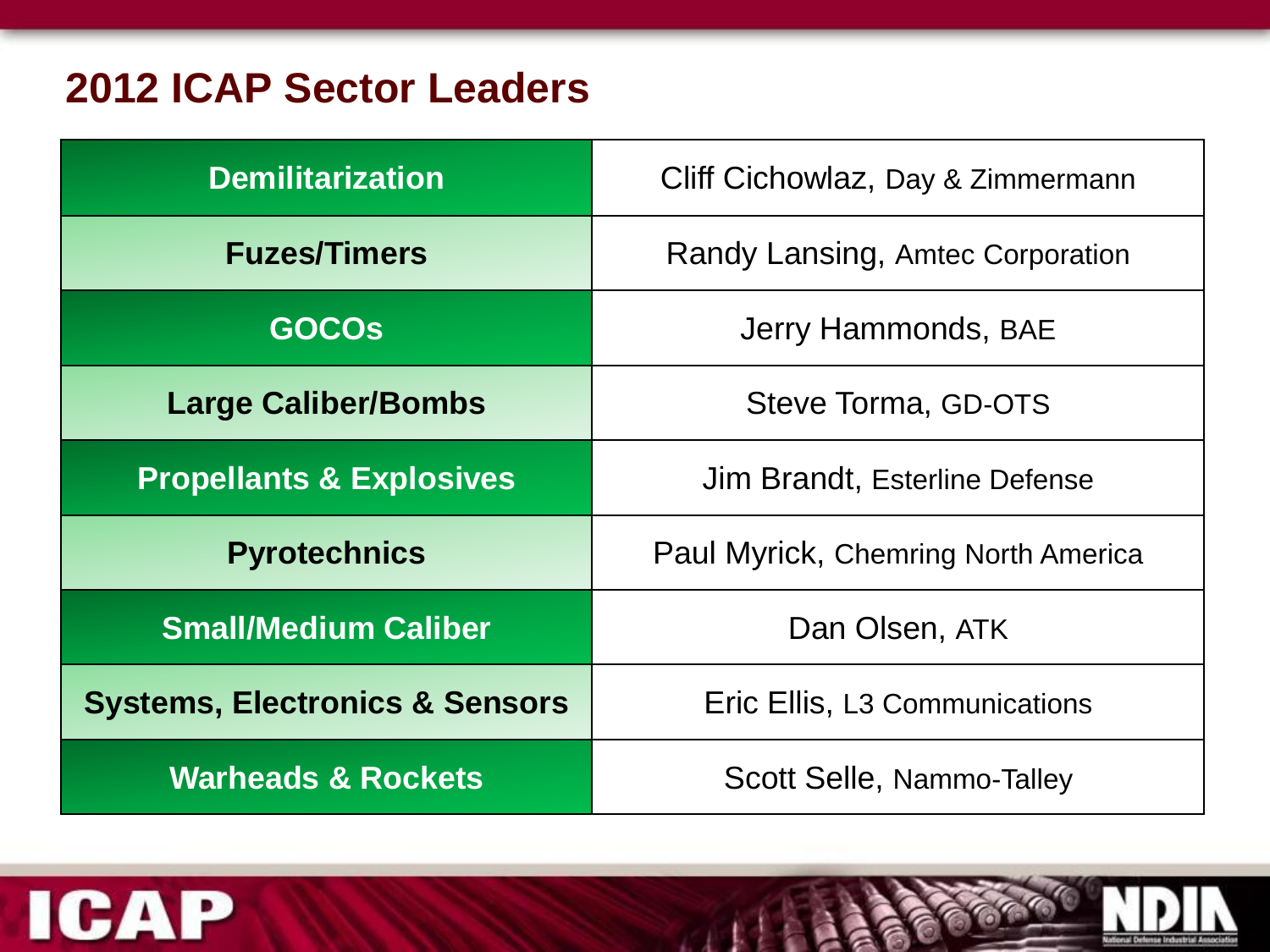## **2012 ICAP Sector Leaders**

| <b>Demilitarization</b>                   | Cliff Cichowlaz, Day & Zimmermann         |
|-------------------------------------------|-------------------------------------------|
| <b>Fuzes/Timers</b>                       | Randy Lansing, Amtec Corporation          |
| <b>GOCOS</b>                              | Jerry Hammonds, BAE                       |
| <b>Large Caliber/Bombs</b>                | Steve Torma, GD-OTS                       |
| <b>Propellants &amp; Explosives</b>       | Jim Brandt, Esterline Defense             |
| <b>Pyrotechnics</b>                       | Paul Myrick, Chemring North America       |
| <b>Small/Medium Caliber</b>               | Dan Olsen, ATK                            |
| <b>Systems, Electronics &amp; Sensors</b> | Eric Ellis, L <sub>3</sub> Communications |
| <b>Warheads &amp; Rockets</b>             | <b>Scott Selle, Nammo-Talley</b>          |



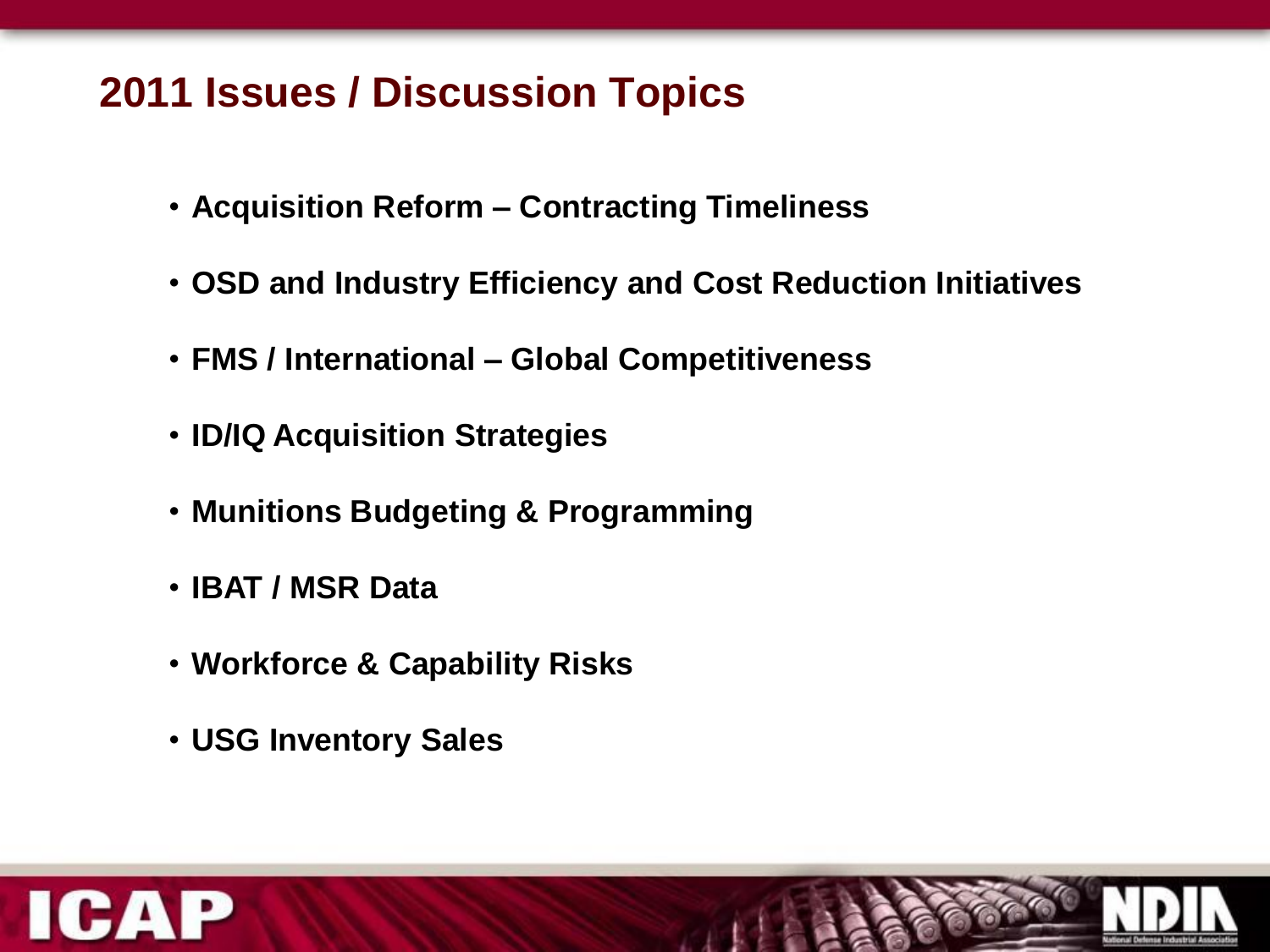## **2011 Issues / Discussion Topics**

- **Acquisition Reform – Contracting Timeliness**
- **OSD and Industry Efficiency and Cost Reduction Initiatives**
- **FMS / International – Global Competitiveness**
- **ID/IQ Acquisition Strategies**
- **Munitions Budgeting & Programming**
- **IBAT / MSR Data**
- **Workforce & Capability Risks**
- **USG Inventory Sales**



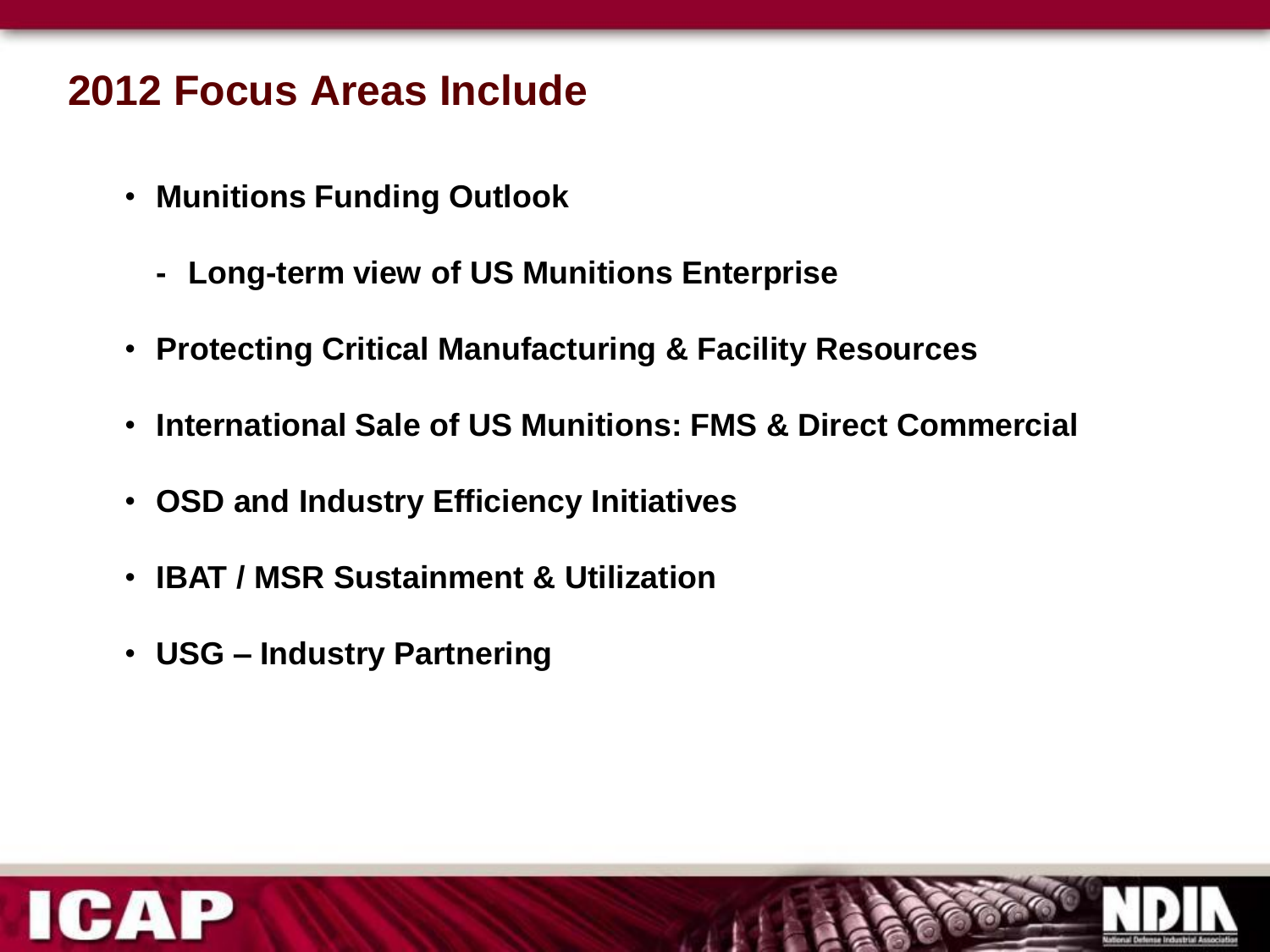#### **2012 Focus Areas Include**

- **Munitions Funding Outlook**
	- **- Long-term view of US Munitions Enterprise**
- **Protecting Critical Manufacturing & Facility Resources**
- **International Sale of US Munitions: FMS & Direct Commercial**
- **OSD and Industry Efficiency Initiatives**
- **IBAT / MSR Sustainment & Utilization**
- **USG – Industry Partnering**